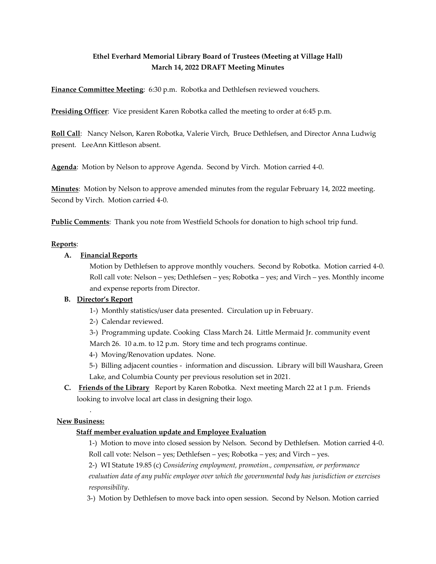# **Ethel Everhard Memorial Library Board of Trustees (Meeting at Village Hall) March 14, 2022 DRAFT Meeting Minutes**

**Finance Committee Meeting**: 6:30 p.m. Robotka and Dethlefsen reviewed vouchers.

**Presiding Officer**: Vice president Karen Robotka called the meeting to order at 6:45 p.m.

**Roll Call**: Nancy Nelson, Karen Robotka, Valerie Virch, Bruce Dethlefsen, and Director Anna Ludwig present. LeeAnn Kittleson absent.

**Agenda**: Motion by Nelson to approve Agenda. Second by Virch. Motion carried 4-0.

**Minutes**: Motion by Nelson to approve amended minutes from the regular February 14, 2022 meeting. Second by Virch. Motion carried 4-0.

**Public Comments**: Thank you note from Westfield Schools for donation to high school trip fund.

#### **Reports**:

#### **A. Financial Reports**

Motion by Dethlefsen to approve monthly vouchers. Second by Robotka. Motion carried 4-0. Roll call vote: Nelson – yes; Dethlefsen – yes; Robotka – yes; and Virch – yes. Monthly income and expense reports from Director.

## **B. Director's Report**

- 1-) Monthly statistics/user data presented. Circulation up in February.
- 2-) Calendar reviewed.

3-) Programming update. Cooking Class March 24. Little Mermaid Jr. community event March 26. 10 a.m. to 12 p.m. Story time and tech programs continue.

- 4-) Moving/Renovation updates. None.
- 5-) Billing adjacent counties information and discussion. Library will bill Waushara, Green Lake, and Columbia County per previous resolution set in 2021.
- **C. Friends of the Library** Report by Karen Robotka. Next meeting March 22 at 1 p.m. Friends looking to involve local art class in designing their logo.

## **New Business:**

.

#### **Staff member evaluation update and Employee Evaluation**

 1-) Motion to move into closed session by Nelson. Second by Dethlefsen. Motion carried 4-0. Roll call vote: Nelson – yes; Dethlefsen – yes; Robotka – yes; and Virch – yes.

 2-) WI Statute 19.85 (c) *Considering employment, promotion., compensation, or performance evaluation data of any public employee over which the governmental body has jurisdiction or exercises responsibility*.

3-) Motion by Dethlefsen to move back into open session. Second by Nelson. Motion carried